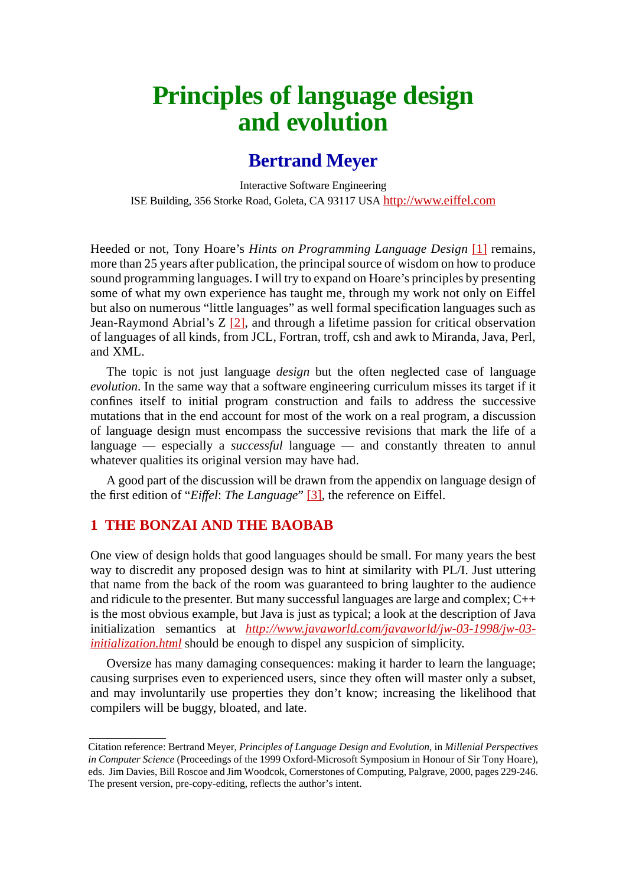# **Principles of language design and evolution**

# **Bertrand Meyer**

Interactive Software Engineering ISE Building, 356 Storke Road, Goleta, CA 93117 USA <http://www.eiffel.com>

Heeded or not, Tony Hoare's *Hints on Programming Language Design* [\[1\]](#page-16-0) remains, more than 25 years after publication, the principal source of wisdom on how to produce sound programming languages. I will try to expand on Hoare's principles by presenting some of what my own experience has taught me, through my work not only on Eiffel but also on numerous "little languages" as well formal specification languages such as Jean-Raymond Abrial's  $Z$   $[2]$ , and through a lifetime passion for critical observation of languages of all kinds, from JCL, Fortran, troff, csh and awk to Miranda, Java, Perl, and XML.

The topic is not just language *design* but the often neglected case of language *evolution*. In the same way that a software engineering curriculum misses its target if it confines itself to initial program construction and fails to address the successive mutations that in the end account for most of the work on a real program, a discussion of language design must encompass the successive revisions that mark the life of a language — especially a *successful* language — and constantly threaten to annul whatever qualities its original version may have had.

A good part of the discussion will be drawn from the appendix on language design of the first edition of "*Eiffel*: *The Language*" [\[3\],](#page-16-2) the reference on Eiffel.

### **1 THE BONZAI AND THE BAOBAB**

One view of design holds that good languages should be small. For many years the best way to discredit any proposed design was to hint at similarity with PL/I. Just uttering that name from the back of the room was guaranteed to bring laughter to the audience and ridicule to the presenter. But many successful languages are large and complex; C++ is the most obvious example, but Java is just as typical; a look at the description of Java initialization semantics at *[http://www.javaworld.com/javaworld/jw-03-1998/jw-03](http://www.javaworld.com/javaworld/jw-03-1998/jw-03-initialization.html) [initialization.html](http://www.javaworld.com/javaworld/jw-03-1998/jw-03-initialization.html)* should be enough to dispel any suspicion of simplicity.

Oversize has many damaging consequences: making it harder to learn the language; causing surprises even to experienced users, since they often will master only a subset, and may involuntarily use properties they don't know; increasing the likelihood that compilers will be buggy, bloated, and late.

Citation reference: Bertrand Meyer, *Principles of Language Design and Evolution*, in *Millenial Perspectives in Computer Science* (Proceedings of the 1999 Oxford-Microsoft Symposium in Honour of Sir Tony Hoare), eds. Jim Davies, Bill Roscoe and Jim Woodcok, Cornerstones of Computing, Palgrave, 2000, pages 229-246. The present version, pre-copy-editing, reflects the author's intent.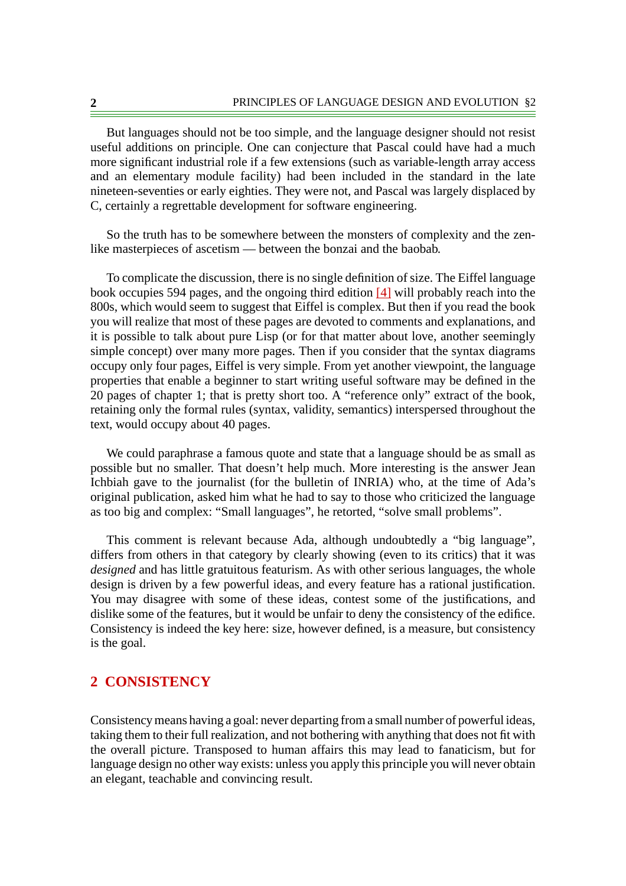But languages should not be too simple, and the language designer should not resist useful additions on principle. One can conjecture that Pascal could have had a much more significant industrial role if a few extensions (such as variable-length array access and an elementary module facility) had been included in the standard in the late nineteen-seventies or early eighties. They were not, and Pascal was largely displaced by C, certainly a regrettable development for software engineering.

So the truth has to be somewhere between the monsters of complexity and the zenlike masterpieces of ascetism — between the bonzai and the baobab.

To complicate the discussion, there is no single definition of size. The Eiffel language book occupies 594 pages, and the ongoing third edition [\[4\]](#page-16-3) will probably reach into the 800s, which would seem to suggest that Eiffel is complex. But then if you read the book you will realize that most of these pages are devoted to comments and explanations, and it is possible to talk about pure Lisp (or for that matter about love, another seemingly simple concept) over many more pages. Then if you consider that the syntax diagrams occupy only four pages, Eiffel is very simple. From yet another viewpoint, the language properties that enable a beginner to start writing useful software may be defined in the 20 pages of chapter 1; that is pretty short too. A "reference only" extract of the book, retaining only the formal rules (syntax, validity, semantics) interspersed throughout the text, would occupy about 40 pages.

We could paraphrase a famous quote and state that a language should be as small as possible but no smaller. That doesn't help much. More interesting is the answer Jean Ichbiah gave to the journalist (for the bulletin of INRIA) who, at the time of Ada's original publication, asked him what he had to say to those who criticized the language as too big and complex: "Small languages", he retorted, "solve small problems".

This comment is relevant because Ada, although undoubtedly a "big language", differs from others in that category by clearly showing (even to its critics) that it was *designed* and has little gratuitous featurism. As with other serious languages, the whole design is driven by a few powerful ideas, and every feature has a rational justification. You may disagree with some of these ideas, contest some of the justifications, and dislike some of the features, but it would be unfair to deny the consistency of the edifice. Consistency is indeed the key here: size, however defined, is a measure, but consistency is the goal.

#### **2 CONSISTENCY**

Consistency means having a goal: never departing from a small number of powerful ideas, taking them to their full realization, and not bothering with anything that does not fit with the overall picture. Transposed to human affairs this may lead to fanaticism, but for language design no other way exists: unless you apply this principle you will never obtain an elegant, teachable and convincing result.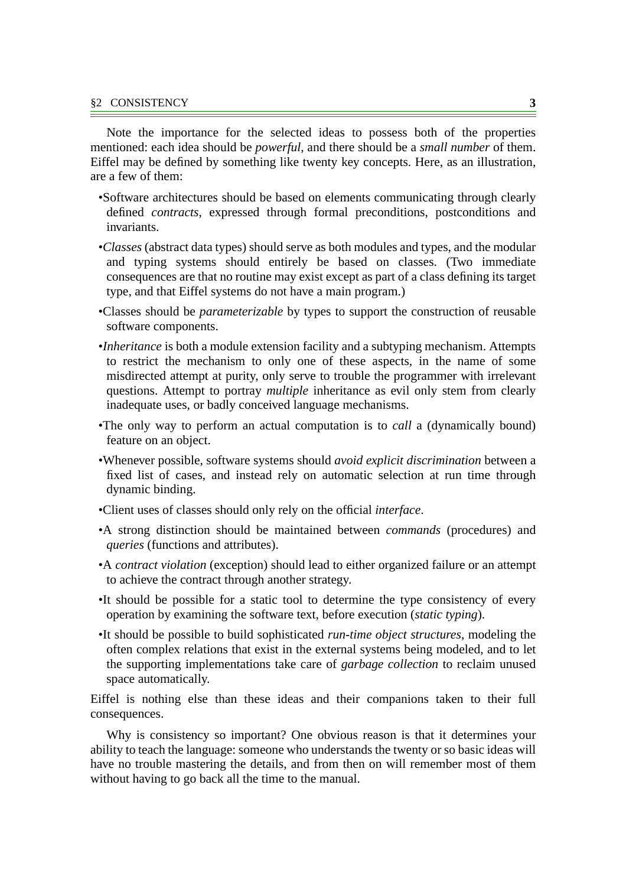Note the importance for the selected ideas to possess both of the properties mentioned: each idea should be *powerful*, and there should be a *small number* of them. Eiffel may be defined by something like twenty key concepts. Here, as an illustration, are a few of them:

- •Software architectures should be based on elements communicating through clearly defined *contracts*, expressed through formal preconditions, postconditions and invariants.
- •*Classes* (abstract data types) should serve as both modules and types, and the modular and typing systems should entirely be based on classes. (Two immediate consequences are that no routine may exist except as part of a class defining its target type, and that Eiffel systems do not have a main program.)
- •Classes should be *parameterizable* by types to support the construction of reusable software components.
- •*Inheritance* is both a module extension facility and a subtyping mechanism. Attempts to restrict the mechanism to only one of these aspects, in the name of some misdirected attempt at purity, only serve to trouble the programmer with irrelevant questions. Attempt to portray *multiple* inheritance as evil only stem from clearly inadequate uses, or badly conceived language mechanisms.
- •The only way to perform an actual computation is to *call* a (dynamically bound) feature on an object.
- •Whenever possible, software systems should *avoid explicit discrimination* between a fixed list of cases, and instead rely on automatic selection at run time through dynamic binding.
- •Client uses of classes should only rely on the official *interface*.
- •A strong distinction should be maintained between *commands* (procedures) and *queries* (functions and attributes).
- •A *contract violation* (exception) should lead to either organized failure or an attempt to achieve the contract through another strategy.
- •It should be possible for a static tool to determine the type consistency of every operation by examining the software text, before execution (*static typing*).
- •It should be possible to build sophisticated *run-time object structures*, modeling the often complex relations that exist in the external systems being modeled, and to let the supporting implementations take care of *garbage collection* to reclaim unused space automatically.

Eiffel is nothing else than these ideas and their companions taken to their full consequences.

Why is consistency so important? One obvious reason is that it determines your ability to teach the language: someone who understands the twenty or so basic ideas will have no trouble mastering the details, and from then on will remember most of them without having to go back all the time to the manual.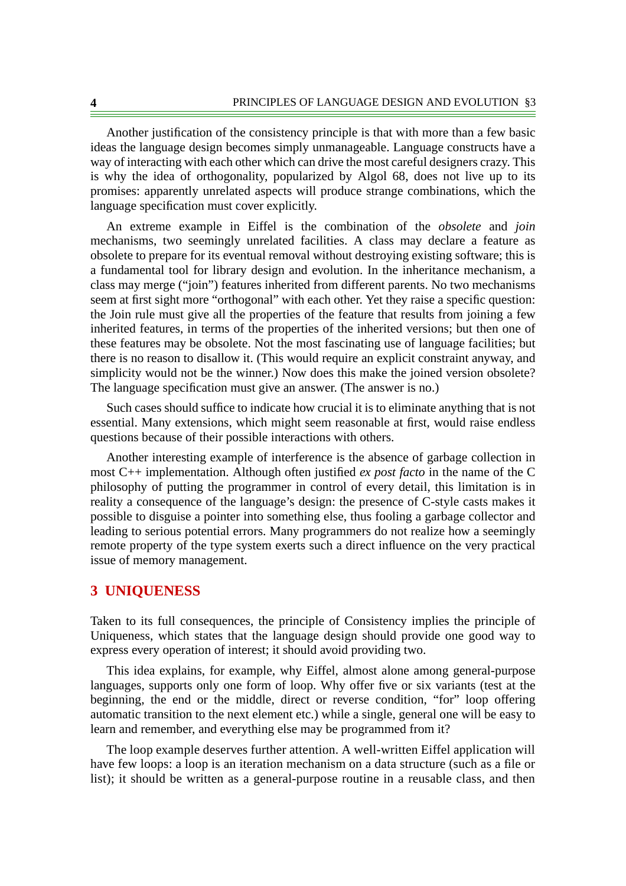Another justification of the consistency principle is that with more than a few basic ideas the language design becomes simply unmanageable. Language constructs have a way of interacting with each other which can drive the most careful designers crazy. This is why the idea of orthogonality, popularized by Algol 68, does not live up to its promises: apparently unrelated aspects will produce strange combinations, which the language specification must cover explicitly.

An extreme example in Eiffel is the combination of the *obsolete* and *join* mechanisms, two seemingly unrelated facilities. A class may declare a feature as obsolete to prepare for its eventual removal without destroying existing software; this is a fundamental tool for library design and evolution. In the inheritance mechanism, a class may merge ("join") features inherited from different parents. No two mechanisms seem at first sight more "orthogonal" with each other. Yet they raise a specific question: the Join rule must give all the properties of the feature that results from joining a few inherited features, in terms of the properties of the inherited versions; but then one of these features may be obsolete. Not the most fascinating use of language facilities; but there is no reason to disallow it. (This would require an explicit constraint anyway, and simplicity would not be the winner.) Now does this make the joined version obsolete? The language specification must give an answer. (The answer is no.)

Such cases should suffice to indicate how crucial it is to eliminate anything that is not essential. Many extensions, which might seem reasonable at first, would raise endless questions because of their possible interactions with others.

Another interesting example of interference is the absence of garbage collection in most C++ implementation. Although often justified *ex post facto* in the name of the C philosophy of putting the programmer in control of every detail, this limitation is in reality a consequence of the language's design: the presence of C-style casts makes it possible to disguise a pointer into something else, thus fooling a garbage collector and leading to serious potential errors. Many programmers do not realize how a seemingly remote property of the type system exerts such a direct influence on the very practical issue of memory management.

#### **3 UNIQUENESS**

Taken to its full consequences, the principle of Consistency implies the principle of Uniqueness, which states that the language design should provide one good way to express every operation of interest; it should avoid providing two.

This idea explains, for example, why Eiffel, almost alone among general-purpose languages, supports only one form of loop. Why offer five or six variants (test at the beginning, the end or the middle, direct or reverse condition, "for" loop offering automatic transition to the next element etc.) while a single, general one will be easy to learn and remember, and everything else may be programmed from it?

The loop example deserves further attention. A well-written Eiffel application will have few loops: a loop is an iteration mechanism on a data structure (such as a file or list); it should be written as a general-purpose routine in a reusable class, and then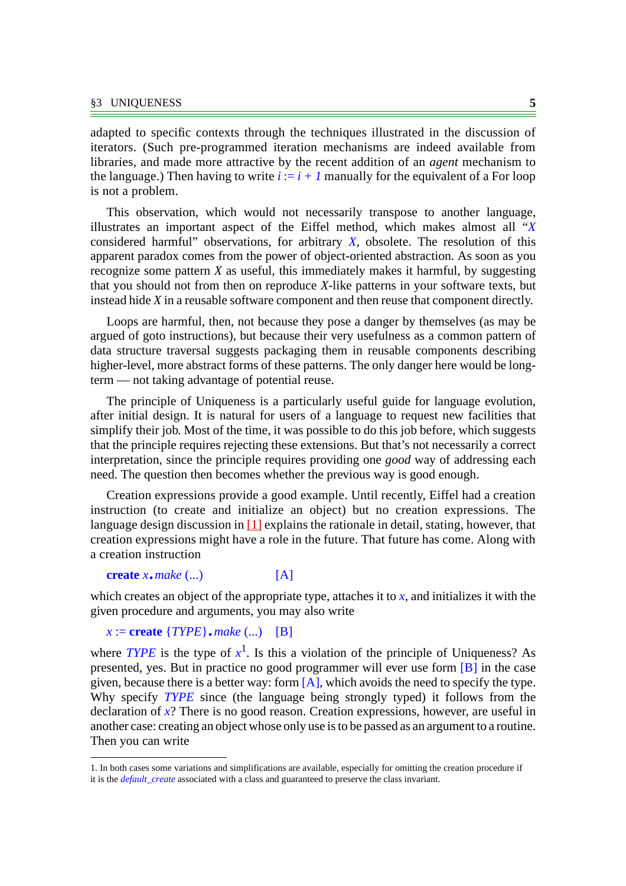adapted to specific contexts through the techniques illustrated in the discussion of iterators. (Such pre-programmed iteration mechanisms are indeed available from libraries, and made more attractive by the recent addition of an *agent* mechanism to the language.) Then having to write  $i := i + 1$  manually for the equivalent of a For loop is not a problem.

This observation, which would not necessarily transpose to another language, illustrates an important aspect of the Eiffel method, which makes almost all "*X* considered harmful" observations, for arbitrary *X*, obsolete. The resolution of this apparent paradox comes from the power of object-oriented abstraction. As soon as you recognize some pattern *X* as useful, this immediately makes it harmful, by suggesting that you should not from then on reproduce *X*-like patterns in your software texts, but instead hide *X* in a reusable software component and then reuse that component directly.

Loops are harmful, then, not because they pose a danger by themselves (as may be argued of goto instructions), but because their very usefulness as a common pattern of data structure traversal suggests packaging them in reusable components describing higher-level, more abstract forms of these patterns. The only danger here would be longterm — not taking advantage of potential reuse.

The principle of Uniqueness is a particularly useful guide for language evolution, after initial design. It is natural for users of a language to request new facilities that simplify their job. Most of the time, it was possible to do this job before, which suggests that the principle requires rejecting these extensions. But that's not necessarily a correct interpretation, since the principle requires providing one *good* way of addressing each need. The question then becomes whether the previous way is good enough.

Creation expressions provide a good example. Until recently, Eiffel had a creation instruction (to create and initialize an object) but no creation expressions. The language design discussion in [\[1\]](#page-16-0) explains the rationale in detail, stating, however, that creation expressions might have a role in the future. That future has come. Along with a creation instruction

#### **create** *<sup>x</sup>*.*make* (...) [A]

which creates an object of the appropriate type, attaches it to *x*, and initializes it with the given procedure and arguments, you may also write

```
x := create {TYPE}.make (...) [B]
```
where *TYPE* is the type of  $x^1$ . Is this a violation of the principle of Uniqueness? As presented, yes. But in practice no good programmer will ever use form [B] in the case given, because there is a better way: form  $[A]$ , which avoids the need to specify the type. Why specify *TYPE* since (the language being strongly typed) it follows from the declaration of x? There is no good reason. Creation expressions, however, are useful in another case: creating an object whose only use is to be passed as an argument to a routine. Then you can write

<sup>1.</sup> In both cases some variations and simplifications are available, especially for omitting the creation procedure if it is the *default\_create* associated with a class and guaranteed to preserve the class invariant.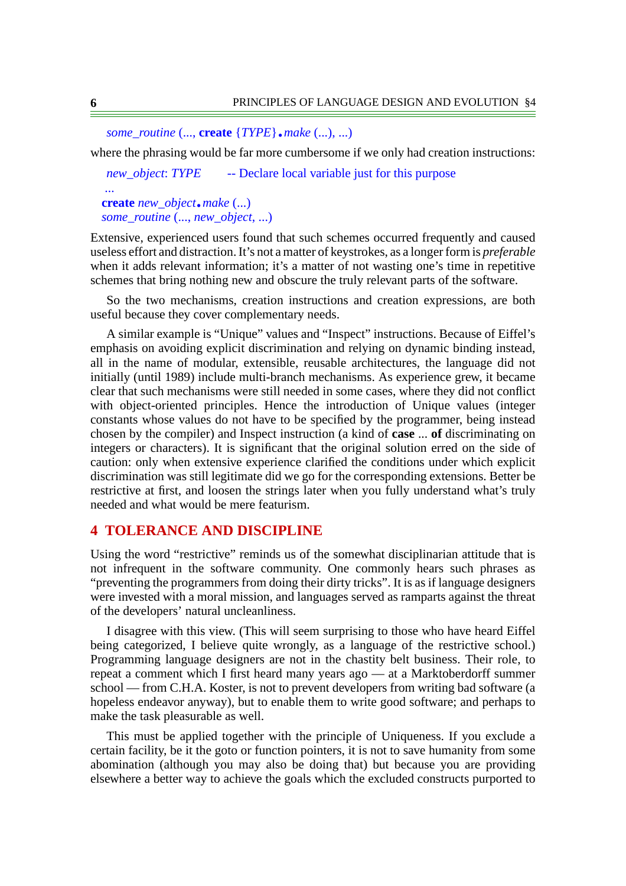*some\_routine* (..., **create** {*TYPE*}.*make* (...), ...)

where the phrasing would be far more cumbersome if we only had creation instructions:

*new\_object*: *TYPE* -- Declare local variable just for this purpose ... **create** *new\_object*.*make* (...) *some\_routine* (..., *new\_object*, ...)

Extensive, experienced users found that such schemes occurred frequently and caused useless effort and distraction. It's not a matter of keystrokes, as a longer form is *preferable* when it adds relevant information; it's a matter of not wasting one's time in repetitive schemes that bring nothing new and obscure the truly relevant parts of the software.

So the two mechanisms, creation instructions and creation expressions, are both useful because they cover complementary needs.

A similar example is "Unique" values and "Inspect" instructions. Because of Eiffel's emphasis on avoiding explicit discrimination and relying on dynamic binding instead, all in the name of modular, extensible, reusable architectures, the language did not initially (until 1989) include multi-branch mechanisms. As experience grew, it became clear that such mechanisms were still needed in some cases, where they did not conflict with object-oriented principles. Hence the introduction of Unique values (integer constants whose values do not have to be specified by the programmer, being instead chosen by the compiler) and Inspect instruction (a kind of **case** ... **of** discriminating on integers or characters). It is significant that the original solution erred on the side of caution: only when extensive experience clarified the conditions under which explicit discrimination was still legitimate did we go for the corresponding extensions. Better be restrictive at first, and loosen the strings later when you fully understand what's truly needed and what would be mere featurism.

#### **4 TOLERANCE AND DISCIPLINE**

Using the word "restrictive" reminds us of the somewhat disciplinarian attitude that is not infrequent in the software community. One commonly hears such phrases as "preventing the programmers from doing their dirty tricks". It is as if language designers were invested with a moral mission, and languages served as ramparts against the threat of the developers' natural uncleanliness.

I disagree with this view. (This will seem surprising to those who have heard Eiffel being categorized, I believe quite wrongly, as a language of the restrictive school.) Programming language designers are not in the chastity belt business. Their role, to repeat a comment which I first heard many years ago — at a Marktoberdorff summer school — from C.H.A. Koster, is not to prevent developers from writing bad software (a hopeless endeavor anyway), but to enable them to write good software; and perhaps to make the task pleasurable as well.

This must be applied together with the principle of Uniqueness. If you exclude a certain facility, be it the goto or function pointers, it is not to save humanity from some abomination (although you may also be doing that) but because you are providing elsewhere a better way to achieve the goals which the excluded constructs purported to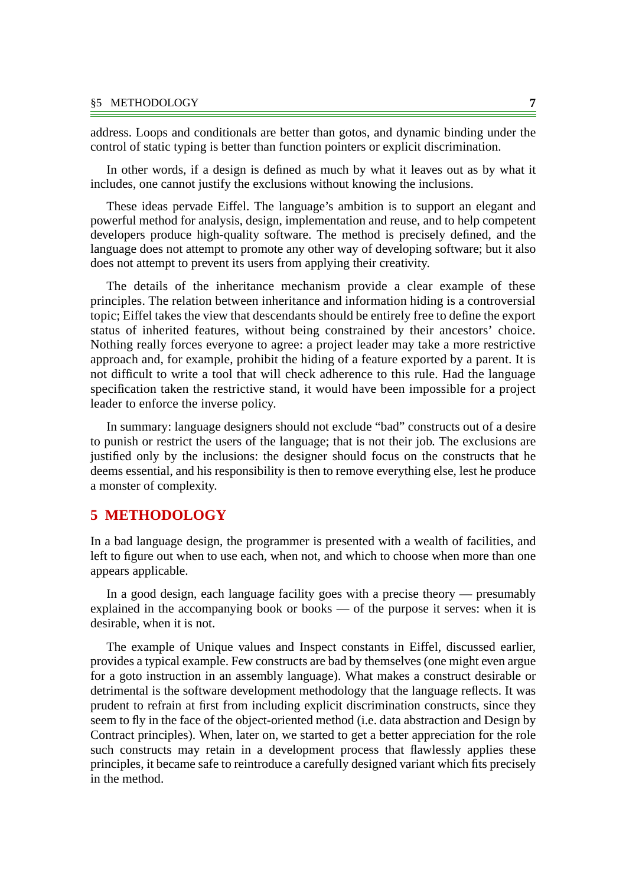address. Loops and conditionals are better than gotos, and dynamic binding under the control of static typing is better than function pointers or explicit discrimination.

In other words, if a design is defined as much by what it leaves out as by what it includes, one cannot justify the exclusions without knowing the inclusions.

These ideas pervade Eiffel. The language's ambition is to support an elegant and powerful method for analysis, design, implementation and reuse, and to help competent developers produce high-quality software. The method is precisely defined, and the language does not attempt to promote any other way of developing software; but it also does not attempt to prevent its users from applying their creativity.

The details of the inheritance mechanism provide a clear example of these principles. The relation between inheritance and information hiding is a controversial topic; Eiffel takes the view that descendants should be entirely free to define the export status of inherited features, without being constrained by their ancestors' choice. Nothing really forces everyone to agree: a project leader may take a more restrictive approach and, for example, prohibit the hiding of a feature exported by a parent. It is not difficult to write a tool that will check adherence to this rule. Had the language specification taken the restrictive stand, it would have been impossible for a project leader to enforce the inverse policy.

In summary: language designers should not exclude "bad" constructs out of a desire to punish or restrict the users of the language; that is not their job. The exclusions are justified only by the inclusions: the designer should focus on the constructs that he deems essential, and his responsibility is then to remove everything else, lest he produce a monster of complexity.

#### **5 METHODOLOGY**

In a bad language design, the programmer is presented with a wealth of facilities, and left to figure out when to use each, when not, and which to choose when more than one appears applicable.

In a good design, each language facility goes with a precise theory — presumably explained in the accompanying book or books — of the purpose it serves: when it is desirable, when it is not.

The example of Unique values and Inspect constants in Eiffel, discussed earlier, provides a typical example. Few constructs are bad by themselves (one might even argue for a goto instruction in an assembly language). What makes a construct desirable or detrimental is the software development methodology that the language reflects. It was prudent to refrain at first from including explicit discrimination constructs, since they seem to fly in the face of the object-oriented method (i.e. data abstraction and Design by Contract principles). When, later on, we started to get a better appreciation for the role such constructs may retain in a development process that flawlessly applies these principles, it became safe to reintroduce a carefully designed variant which fits precisely in the method.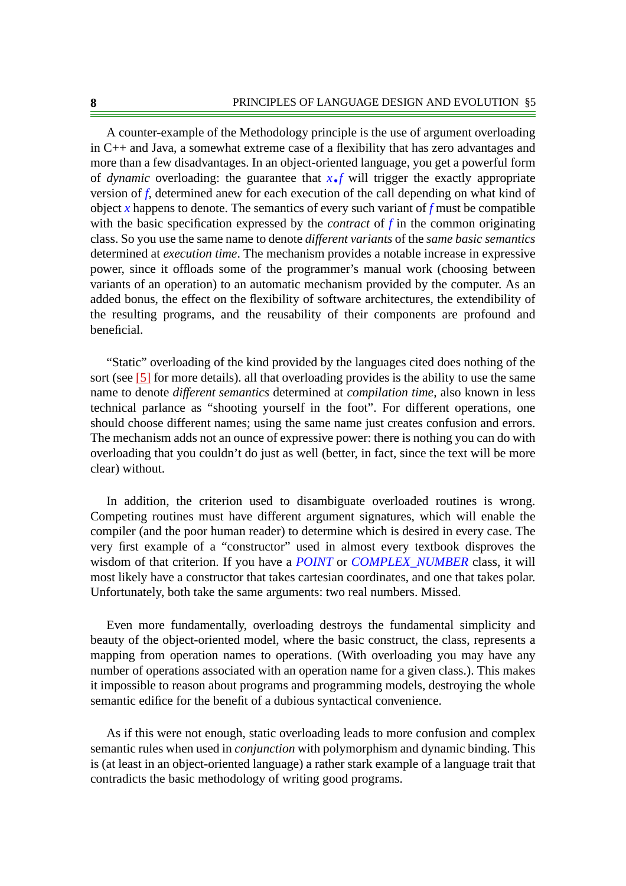A counter-example of the Methodology principle is the use of argument overloading in C++ and Java, a somewhat extreme case of a flexibility that has zero advantages and more than a few disadvantages. In an object-oriented language, you get a powerful form of *dynamic* overloading: the guarantee that  $x \cdot f$  will trigger the exactly appropriate version of *f*, determined anew for each execution of the call depending on what kind of object *x* happens to denote. The semantics of every such variant of  $f$  must be compatible with the basic specification expressed by the *contract* of *f* in the common originating class. So you use the same name to denote *different variants* of the *same basic semantics* determined at *execution time*. The mechanism provides a notable increase in expressive power, since it offloads some of the programmer's manual work (choosing between variants of an operation) to an automatic mechanism provided by the computer. As an added bonus, the effect on the flexibility of software architectures, the extendibility of the resulting programs, and the reusability of their components are profound and beneficial.

"Static" overloading of the kind provided by the languages cited does nothing of the sort (see [\[5\]](#page-16-4) for more details). all that overloading provides is the ability to use the same name to denote *different semantics* determined at *compilation time*, also known in less technical parlance as "shooting yourself in the foot". For different operations, one should choose different names; using the same name just creates confusion and errors. The mechanism adds not an ounce of expressive power: there is nothing you can do with overloading that you couldn't do just as well (better, in fact, since the text will be more clear) without.

In addition, the criterion used to disambiguate overloaded routines is wrong. Competing routines must have different argument signatures, which will enable the compiler (and the poor human reader) to determine which is desired in every case. The very first example of a "constructor" used in almost every textbook disproves the wisdom of that criterion. If you have a *POINT* or *COMPLEX\_NUMBER* class, it will most likely have a constructor that takes cartesian coordinates, and one that takes polar. Unfortunately, both take the same arguments: two real numbers. Missed.

Even more fundamentally, overloading destroys the fundamental simplicity and beauty of the object-oriented model, where the basic construct, the class, represents a mapping from operation names to operations. (With overloading you may have any number of operations associated with an operation name for a given class.). This makes it impossible to reason about programs and programming models, destroying the whole semantic edifice for the benefit of a dubious syntactical convenience.

As if this were not enough, static overloading leads to more confusion and complex semantic rules when used in *conjunction* with polymorphism and dynamic binding. This is (at least in an object-oriented language) a rather stark example of a language trait that contradicts the basic methodology of writing good programs.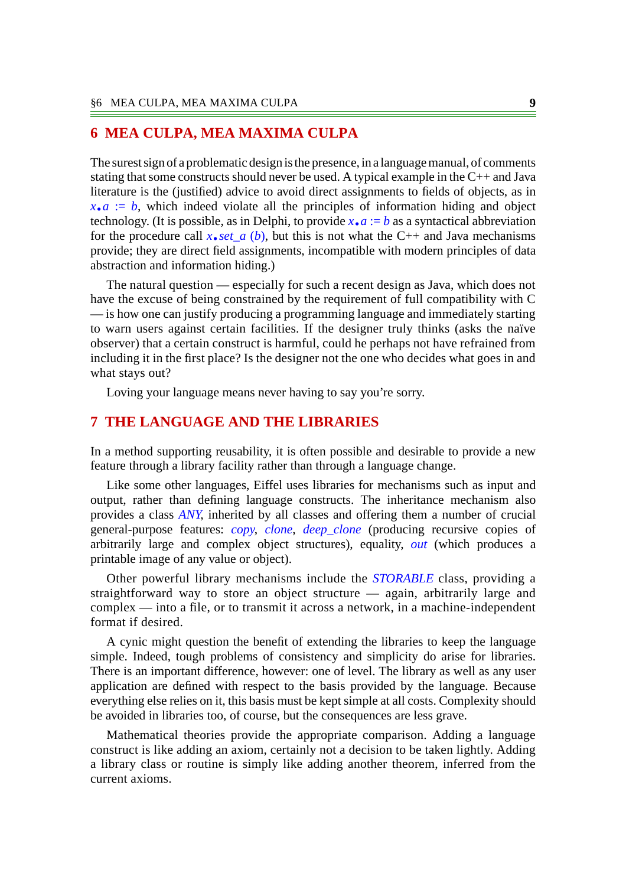#### **6 MEA CULPA, MEA MAXIMA CULPA**

The surest sign of a problematic design is the presence, in a language manual, of comments stating that some constructs should never be used. A typical example in the C++ and Java literature is the (justified) advice to avoid direct assignments to fields of objects, as in  $x \cdot a := b$ , which indeed violate all the principles of information hiding and object technology. (It is possible, as in Delphi, to provide  $x \cdot a := b$  as a syntactical abbreviation for the procedure call  $x \cdot \text{set}_a$  (*b*), but this is not what the C++ and Java mechanisms provide; they are direct field assignments, incompatible with modern principles of data abstraction and information hiding.)

The natural question — especially for such a recent design as Java, which does not have the excuse of being constrained by the requirement of full compatibility with C — is how one can justify producing a programming language and immediately starting to warn users against certain facilities. If the designer truly thinks (asks the naïve observer) that a certain construct is harmful, could he perhaps not have refrained from including it in the first place? Is the designer not the one who decides what goes in and what stays out?

Loving your language means never having to say you're sorry.

#### **7 THE LANGUAGE AND THE LIBRARIES**

In a method supporting reusability, it is often possible and desirable to provide a new feature through a library facility rather than through a language change.

Like some other languages, Eiffel uses libraries for mechanisms such as input and output, rather than defining language constructs. The inheritance mechanism also provides a class *ANY*, inherited by all classes and offering them a number of crucial general-purpose features: *copy*, *clone*, *deep\_clone* (producing recursive copies of arbitrarily large and complex object structures), equality, *out* (which produces a printable image of any value or object).

Other powerful library mechanisms include the *STORABLE* class, providing a straightforward way to store an object structure — again, arbitrarily large and complex — into a file, or to transmit it across a network, in a machine-independent format if desired.

A cynic might question the benefit of extending the libraries to keep the language simple. Indeed, tough problems of consistency and simplicity do arise for libraries. There is an important difference, however: one of level. The library as well as any user application are defined with respect to the basis provided by the language. Because everything else relies on it, this basis must be kept simple at all costs. Complexity should be avoided in libraries too, of course, but the consequences are less grave.

Mathematical theories provide the appropriate comparison. Adding a language construct is like adding an axiom, certainly not a decision to be taken lightly. Adding a library class or routine is simply like adding another theorem, inferred from the current axioms.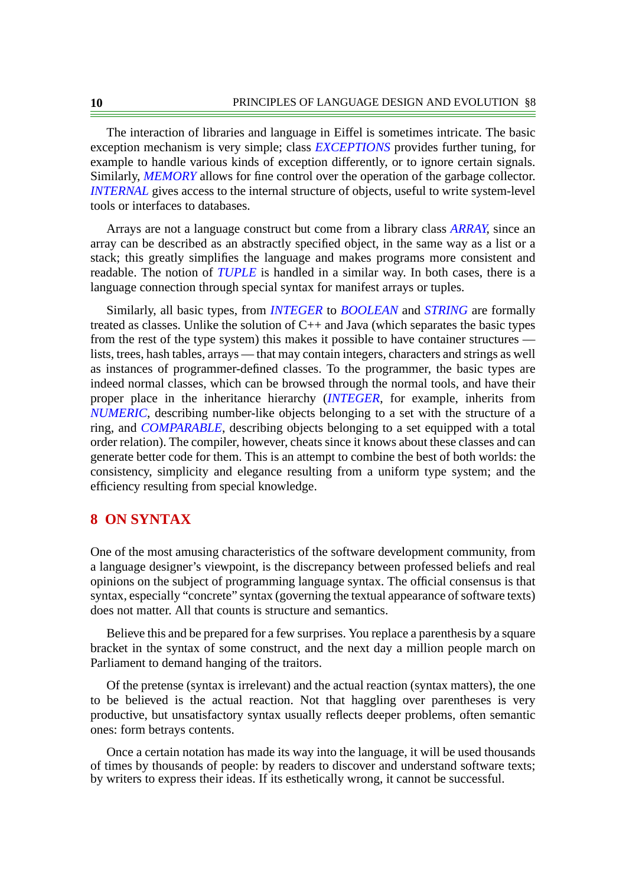The interaction of libraries and language in Eiffel is sometimes intricate. The basic exception mechanism is very simple; class *EXCEPTIONS* provides further tuning, for example to handle various kinds of exception differently, or to ignore certain signals. Similarly, *MEMORY* allows for fine control over the operation of the garbage collector. *INTERNAL* gives access to the internal structure of objects, useful to write system-level tools or interfaces to databases.

Arrays are not a language construct but come from a library class *ARRAY*, since an array can be described as an abstractly specified object, in the same way as a list or a stack; this greatly simplifies the language and makes programs more consistent and readable. The notion of *TUPLE* is handled in a similar way. In both cases, there is a language connection through special syntax for manifest arrays or tuples.

Similarly, all basic types, from *INTEGER* to *BOOLEAN* and *STRING* are formally treated as classes. Unlike the solution of C++ and Java (which separates the basic types from the rest of the type system) this makes it possible to have container structures lists, trees, hash tables, arrays — that may contain integers, characters and strings as well as instances of programmer-defined classes. To the programmer, the basic types are indeed normal classes, which can be browsed through the normal tools, and have their proper place in the inheritance hierarchy (*INTEGER*, for example, inherits from *NUMERIC*, describing number-like objects belonging to a set with the structure of a ring, and *COMPARABLE*, describing objects belonging to a set equipped with a total order relation). The compiler, however, cheats since it knows about these classes and can generate better code for them. This is an attempt to combine the best of both worlds: the consistency, simplicity and elegance resulting from a uniform type system; and the efficiency resulting from special knowledge.

#### **8 ON SYNTAX**

One of the most amusing characteristics of the software development community, from a language designer's viewpoint, is the discrepancy between professed beliefs and real opinions on the subject of programming language syntax. The official consensus is that syntax, especially "concrete" syntax (governing the textual appearance of software texts) does not matter. All that counts is structure and semantics.

Believe this and be prepared for a few surprises. You replace a parenthesis by a square bracket in the syntax of some construct, and the next day a million people march on Parliament to demand hanging of the traitors.

Of the pretense (syntax is irrelevant) and the actual reaction (syntax matters), the one to be believed is the actual reaction. Not that haggling over parentheses is very productive, but unsatisfactory syntax usually reflects deeper problems, often semantic ones: form betrays contents.

Once a certain notation has made its way into the language, it will be used thousands of times by thousands of people: by readers to discover and understand software texts; by writers to express their ideas. If its esthetically wrong, it cannot be successful.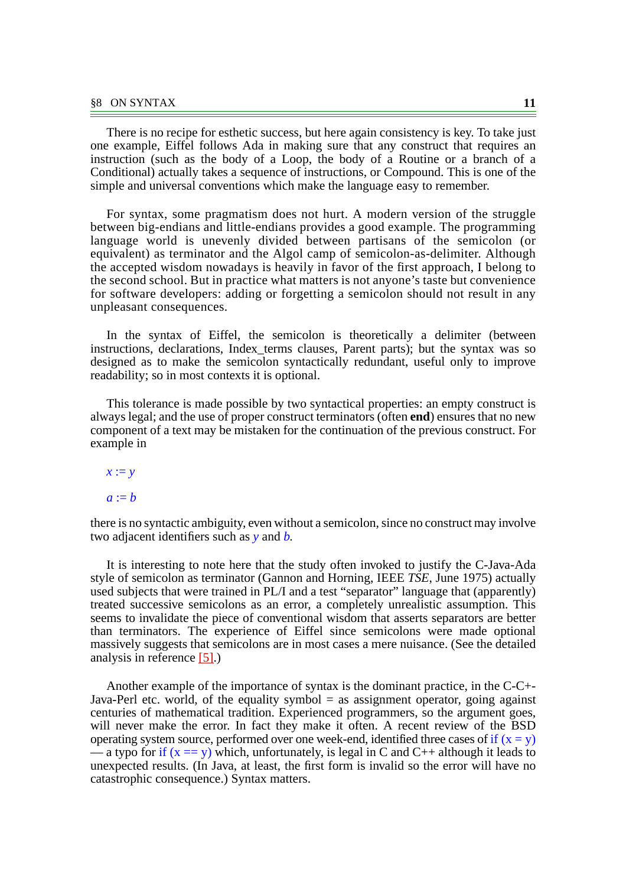There is no recipe for esthetic success, but here again consistency is key. To take just one example, Eiffel follows Ada in making sure that any construct that requires an instruction (such as the body of a Loop, the body of a Routine or a branch of a Conditional) actually takes a sequence of instructions, or Compound. This is one of the simple and universal conventions which make the language easy to remember.

For syntax, some pragmatism does not hurt. A modern version of the struggle between big-endians and little-endians provides a good example. The programming language world is unevenly divided between partisans of the semicolon (or equivalent) as terminator and the Algol camp of semicolon-as-delimiter. Although the accepted wisdom nowadays is heavily in favor of the first approach, I belong to the second school. But in practice what matters is not anyone's taste but convenience for software developers: adding or forgetting a semicolon should not result in any unpleasant consequences.

In the syntax of Eiffel, the semicolon is theoretically a delimiter (between instructions, declarations, Index\_terms clauses, Parent parts); but the syntax was so designed as to make the semicolon syntactically redundant, useful only to improve readability; so in most contexts it is optional.

This tolerance is made possible by two syntactical properties: an empty construct is always legal; and the use of proper construct terminators (often **end**) ensures that no new component of a text may be mistaken for the continuation of the previous construct. For example in

*x* := *y*  $a := b$ 

there is no syntactic ambiguity, even without a semicolon, since no construct may involve two adjacent identifiers such as *y* and *b*.

It is interesting to note here that the study often invoked to justify the C-Java-Ada style of semicolon as terminator (Gannon and Horning, IEEE *TSE*, June 1975) actually used subjects that were trained in PL/I and a test "separator" language that (apparently) treated successive semicolons as an error, a completely unrealistic assumption. This seems to invalidate the piece of conventional wisdom that asserts separators are better than terminators. The experience of Eiffel since semicolons were made optional massively suggests that semicolons are in most cases a mere nuisance. (See the detailed analysis in reference  $[5]$ .)

Another example of the importance of syntax is the dominant practice, in the C-C+- Java-Perl etc. world, of the equality symbol = as assignment operator, going against centuries of mathematical tradition. Experienced programmers, so the argument goes, will never make the error. In fact they make it often. A recent review of the BSD operating system source, performed over one week-end, identified three cases of if  $(x = y)$ — a typo for if  $(x = y)$  which, unfortunately, is legal in C and C++ although it leads to unexpected results. (In Java, at least, the first form is invalid so the error will have no catastrophic consequence.) Syntax matters.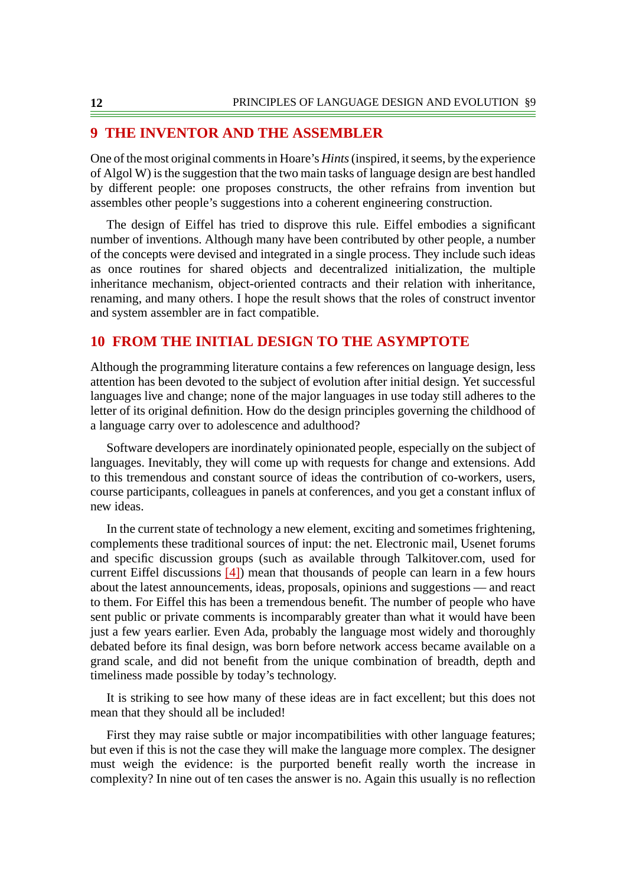#### **9 THE INVENTOR AND THE ASSEMBLER**

One of the most original comments in Hoare's *Hints*(inspired, it seems, by the experience of Algol W) is the suggestion that the two main tasks of language design are best handled by different people: one proposes constructs, the other refrains from invention but assembles other people's suggestions into a coherent engineering construction.

The design of Eiffel has tried to disprove this rule. Eiffel embodies a significant number of inventions. Although many have been contributed by other people, a number of the concepts were devised and integrated in a single process. They include such ideas as once routines for shared objects and decentralized initialization, the multiple inheritance mechanism, object-oriented contracts and their relation with inheritance, renaming, and many others. I hope the result shows that the roles of construct inventor and system assembler are in fact compatible.

#### **10 FROM THE INITIAL DESIGN TO THE ASYMPTOTE**

Although the programming literature contains a few references on language design, less attention has been devoted to the subject of evolution after initial design. Yet successful languages live and change; none of the major languages in use today still adheres to the letter of its original definition. How do the design principles governing the childhood of a language carry over to adolescence and adulthood?

Software developers are inordinately opinionated people, especially on the subject of languages. Inevitably, they will come up with requests for change and extensions. Add to this tremendous and constant source of ideas the contribution of co-workers, users, course participants, colleagues in panels at conferences, and you get a constant influx of new ideas.

In the current state of technology a new element, exciting and sometimes frightening, complements these traditional sources of input: the net. Electronic mail, Usenet forums and specific discussion groups (such as available through Talkitover.com, used for current Eiffel discussions [\[4\]](#page-16-3)) mean that thousands of people can learn in a few hours about the latest announcements, ideas, proposals, opinions and suggestions — and react to them. For Eiffel this has been a tremendous benefit. The number of people who have sent public or private comments is incomparably greater than what it would have been just a few years earlier. Even Ada, probably the language most widely and thoroughly debated before its final design, was born before network access became available on a grand scale, and did not benefit from the unique combination of breadth, depth and timeliness made possible by today's technology.

It is striking to see how many of these ideas are in fact excellent; but this does not mean that they should all be included!

First they may raise subtle or major incompatibilities with other language features; but even if this is not the case they will make the language more complex. The designer must weigh the evidence: is the purported benefit really worth the increase in complexity? In nine out of ten cases the answer is no. Again this usually is no reflection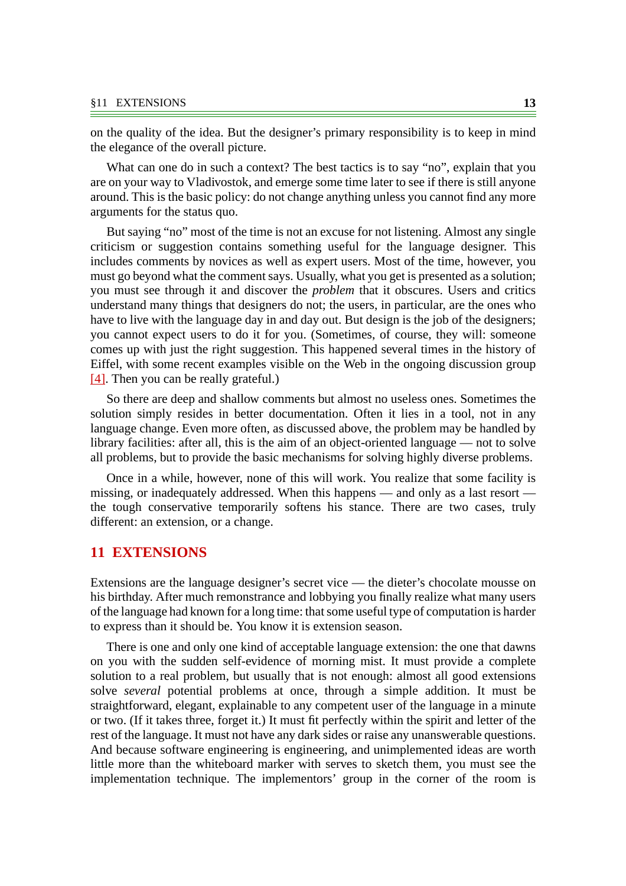on the quality of the idea. But the designer's primary responsibility is to keep in mind the elegance of the overall picture.

What can one do in such a context? The best tactics is to say "no", explain that you are on your way to Vladivostok, and emerge some time later to see if there is still anyone around. This is the basic policy: do not change anything unless you cannot find any more arguments for the status quo.

But saying "no" most of the time is not an excuse for not listening. Almost any single criticism or suggestion contains something useful for the language designer. This includes comments by novices as well as expert users. Most of the time, however, you must go beyond what the comment says. Usually, what you get is presented as a solution; you must see through it and discover the *problem* that it obscures. Users and critics understand many things that designers do not; the users, in particular, are the ones who have to live with the language day in and day out. But design is the job of the designers; you cannot expect users to do it for you. (Sometimes, of course, they will: someone comes up with just the right suggestion. This happened several times in the history of Eiffel, with some recent examples visible on the Web in the ongoing discussion group [\[4\]](#page-16-3). Then you can be really grateful.)

So there are deep and shallow comments but almost no useless ones. Sometimes the solution simply resides in better documentation. Often it lies in a tool, not in any language change. Even more often, as discussed above, the problem may be handled by library facilities: after all, this is the aim of an object-oriented language — not to solve all problems, but to provide the basic mechanisms for solving highly diverse problems.

Once in a while, however, none of this will work. You realize that some facility is missing, or inadequately addressed. When this happens — and only as a last resort the tough conservative temporarily softens his stance. There are two cases, truly different: an extension, or a change.

#### **11 EXTENSIONS**

Extensions are the language designer's secret vice — the dieter's chocolate mousse on his birthday. After much remonstrance and lobbying you finally realize what many users of the language had known for a long time: that some useful type of computation is harder to express than it should be. You know it is extension season.

There is one and only one kind of acceptable language extension: the one that dawns on you with the sudden self-evidence of morning mist. It must provide a complete solution to a real problem, but usually that is not enough: almost all good extensions solve *several* potential problems at once, through a simple addition. It must be straightforward, elegant, explainable to any competent user of the language in a minute or two. (If it takes three, forget it.) It must fit perfectly within the spirit and letter of the rest of the language. It must not have any dark sides or raise any unanswerable questions. And because software engineering is engineering, and unimplemented ideas are worth little more than the whiteboard marker with serves to sketch them, you must see the implementation technique. The implementors' group in the corner of the room is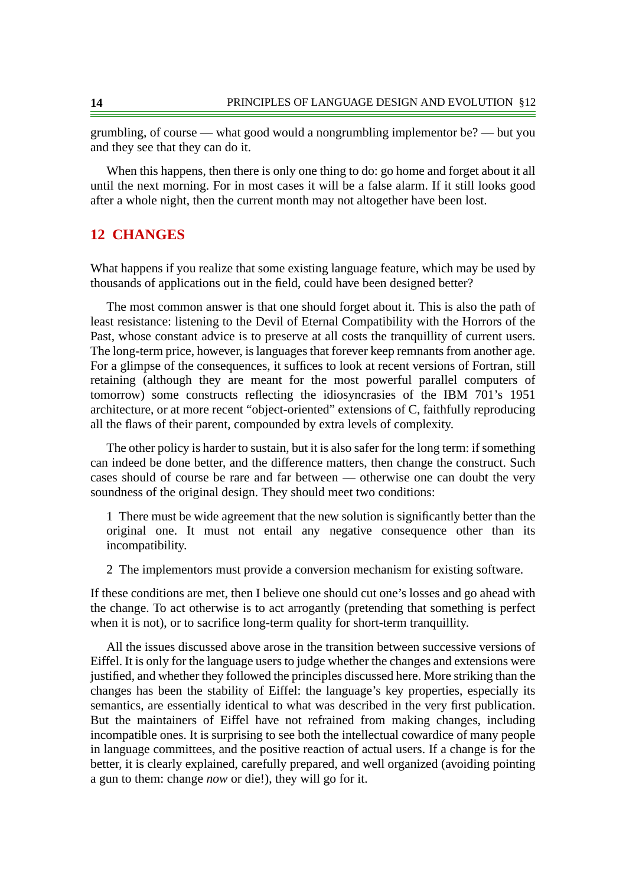grumbling, of course — what good would a nongrumbling implementor be? — but you and they see that they can do it.

When this happens, then there is only one thing to do: go home and forget about it all until the next morning. For in most cases it will be a false alarm. If it still looks good after a whole night, then the current month may not altogether have been lost.

#### **12 CHANGES**

What happens if you realize that some existing language feature, which may be used by thousands of applications out in the field, could have been designed better?

The most common answer is that one should forget about it. This is also the path of least resistance: listening to the Devil of Eternal Compatibility with the Horrors of the Past, whose constant advice is to preserve at all costs the tranquillity of current users. The long-term price, however, is languages that forever keep remnants from another age. For a glimpse of the consequences, it suffices to look at recent versions of Fortran, still retaining (although they are meant for the most powerful parallel computers of tomorrow) some constructs reflecting the idiosyncrasies of the IBM 701's 1951 architecture, or at more recent "object-oriented" extensions of C, faithfully reproducing all the flaws of their parent, compounded by extra levels of complexity.

The other policy is harder to sustain, but it is also safer for the long term: if something can indeed be done better, and the difference matters, then change the construct. Such cases should of course be rare and far between — otherwise one can doubt the very soundness of the original design. They should meet two conditions:

1 There must be wide agreement that the new solution is significantly better than the original one. It must not entail any negative consequence other than its incompatibility.

2 The implementors must provide a conversion mechanism for existing software.

If these conditions are met, then I believe one should cut one's losses and go ahead with the change. To act otherwise is to act arrogantly (pretending that something is perfect when it is not), or to sacrifice long-term quality for short-term tranquillity.

All the issues discussed above arose in the transition between successive versions of Eiffel. It is only for the language users to judge whether the changes and extensions were justified, and whether they followed the principles discussed here. More striking than the changes has been the stability of Eiffel: the language's key properties, especially its semantics, are essentially identical to what was described in the very first publication. But the maintainers of Eiffel have not refrained from making changes, including incompatible ones. It is surprising to see both the intellectual cowardice of many people in language committees, and the positive reaction of actual users. If a change is for the better, it is clearly explained, carefully prepared, and well organized (avoiding pointing a gun to them: change *now* or die!), they will go for it.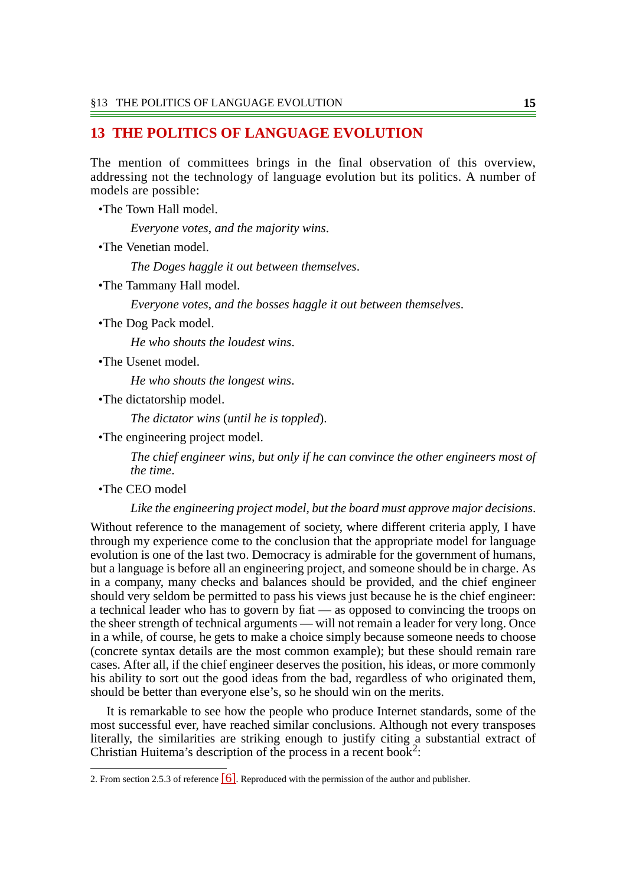#### **13 THE POLITICS OF LANGUAGE EVOLUTION**

The mention of committees brings in the final observation of this overview, addressing not the technology of language evolution but its politics. A number of models are possible:

•The Town Hall model.

*Everyone votes*, *and the majority wins*.

•The Venetian model.

*The Doges haggle it out between themselves*.

•The Tammany Hall model.

*Everyone votes*, *and the bosses haggle it out between themselves*.

•The Dog Pack model.

*He who shouts the loudest wins*.

•The Usenet model.

*He who shouts the longest wins*.

•The dictatorship model.

*The dictator wins* (*until he is toppled*).

•The engineering project model.

*The chief engineer wins*, *but only if he can convince the other engineers most of the time*.

•The CEO model

*Like the engineering project model*, *but the board must approve major decisions*.

Without reference to the management of society, where different criteria apply, I have through my experience come to the conclusion that the appropriate model for language evolution is one of the last two. Democracy is admirable for the government of humans, but a language is before all an engineering project, and someone should be in charge. As in a company, many checks and balances should be provided, and the chief engineer should very seldom be permitted to pass his views just because he is the chief engineer: a technical leader who has to govern by fiat — as opposed to convincing the troops on the sheer strength of technical arguments — will not remain a leader for very long. Once in a while, of course, he gets to make a choice simply because someone needs to choose (concrete syntax details are the most common example); but these should remain rare cases. After all, if the chief engineer deserves the position, his ideas, or more commonly his ability to sort out the good ideas from the bad, regardless of who originated them, should be better than everyone else's, so he should win on the merits.

It is remarkable to see how the people who produce Internet standards, some of the most successful ever, have reached similar conclusions. Although not every transposes literally, the similarities are striking enough to justify citing a substantial extract of Christian Huitema's description of the process in a recent book<sup>2</sup>:

<sup>2.</sup> From section 2.5.3 of reference  $\lceil 6 \rceil$ . Reproduced with the permission of the author and publisher.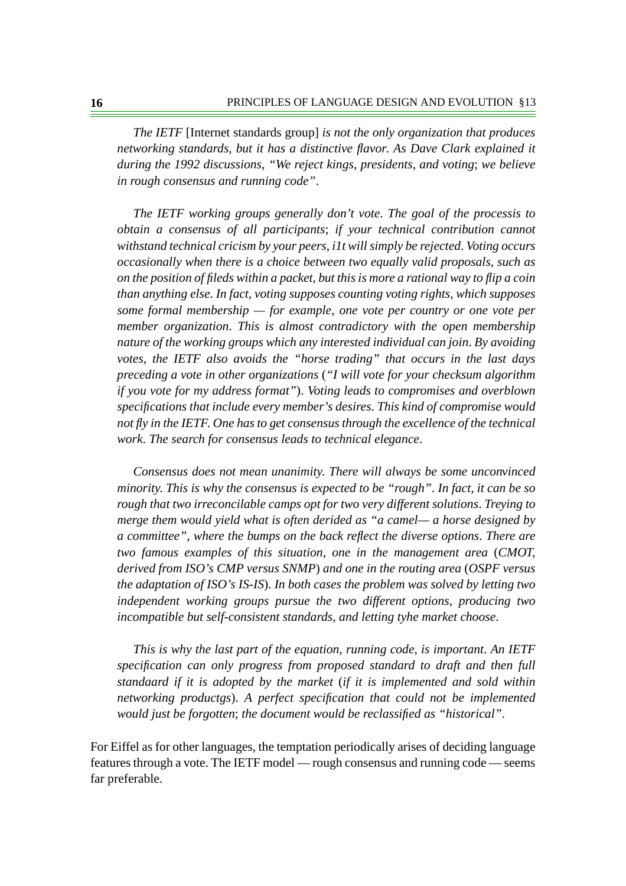*The IETF* [Internet standards group] *is not the only organization that produces networking standards*, *but it has a distinctive flavor*. *As Dave Clark explained it during the 1992 discussions*, *"We reject kings*, *presidents*, *and voting*; *we believe in rough consensus and running code"*.

*The IETF working groups generally don't vote*. *The goal of the processis to obtain a consensus of all participants*; *if your technical contribution cannot withstand technical cricism by your peers*, *i1t will simply be rejected*. *Voting occurs occasionally when there is a choice between two equally valid proposals*, *such as on the position of fileds within a packet*, *but this is more a rational way to flip a coin than anything else*. *In fact*, *voting supposes counting voting rights*, *which supposes some formal membership — for example*, *one vote per country or one vote per member organization*. *This is almost contradictory with the open membership nature of the working groups which any interested individual can join*. *By avoiding votes*, *the IETF also avoids the "horse trading" that occurs in the last days preceding a vote in other organizations* (*"I will vote for your checksum algorithm if you vote for my address format"*). *Voting leads to compromises and overblown specifications that include every member's desires*. *This kind of compromise would not fly in the IETF*. *One has to get consensus through the excellence of the technical work*. *The search for consensus leads to technical elegance*.

*Consensus does not mean unanimity*. *There will always be some unconvinced minority*. *This is why the consensus is expected to be "rough"*. *In fact*, *it can be so rough that two irreconcilable camps opt for two very different solutions*. *Treying to merge them would yield what is often derided as "a camel— a horse designed by a committee"*, *where the bumps on the back reflect the diverse options*. *There are two famous examples of this situation*, *one in the management area* (*CMOT*, *derived from ISO's CMP versus SNMP*) *and one in the routing area* (*OSPF versus the adaptation of ISO's IS-IS*). *In both cases the problem was solved by letting two independent working groups pursue the two different options*, *producing two incompatible but self-consistent standards*, *and letting tyhe market choose*.

*This is why the last part of the equation*, *running code*, *is important*. *An IETF specification can only progress from proposed standard to draft and then full standaard if it is adopted by the market* (*if it is implemented and sold within networking productgs*). *A perfect specification that could not be implemented would just be forgotten*; *the document would be reclassified as "historical"*.

For Eiffel as for other languages, the temptation periodically arises of deciding language features through a vote. The IETF model — rough consensus and running code — seems far preferable.